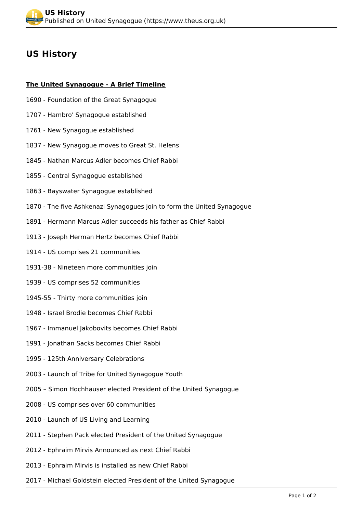## **US History**

## **The United Synagogue - A Brief Timeline**

- 1690 Foundation of the Great Synagogue
- 1707 Hambro' Synagogue established
- 1761 New Synagogue established
- 1837 New Synagogue moves to Great St. Helens
- 1845 Nathan Marcus Adler becomes Chief Rabbi
- 1855 Central Synagogue established
- 1863 Bayswater Synagogue established
- 1870 The five Ashkenazi Synagogues join to form the United Synagogue
- 1891 Hermann Marcus Adler succeeds his father as Chief Rabbi
- 1913 Joseph Herman Hertz becomes Chief Rabbi
- 1914 US comprises 21 communities
- 1931-38 Nineteen more communities join
- 1939 US comprises 52 communities
- 1945-55 Thirty more communities join
- 1948 Israel Brodie becomes Chief Rabbi
- 1967 Immanuel Jakobovits becomes Chief Rabbi
- 1991 Jonathan Sacks becomes Chief Rabbi
- 1995 125th Anniversary Celebrations
- 2003 Launch of Tribe for United Synagogue Youth
- 2005 Simon Hochhauser elected President of the United Synagogue
- 2008 US comprises over 60 communities
- 2010 Launch of US Living and Learning
- 2011 Stephen Pack elected President of the United Synagogue
- 2012 Ephraim Mirvis Announced as next Chief Rabbi
- 2013 Ephraim Mirvis is installed as new Chief Rabbi
- 2017 Michael Goldstein elected President of the United Synagogue